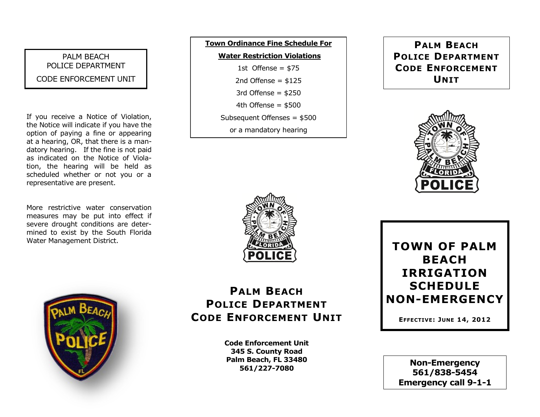### PALM BEACH POLICE DEPARTMENT CODE ENFORCEMENT UNIT

If you receive a Notice of Violation, the Notice will indicate if you have the option of paying a fine or appearing at a hearing, OR, that there is a mandatory hearing. If the fine is not paid as indicated on the Notice of Violation, the hearing will be held as scheduled whether or not you or a representative are present.

More restrictive water conservation measures may be put into effect if severe drought conditions are determined to exist by the South Florida Water Management District.



## **Town Ordinance Fine Schedule For Water Restriction Violations** 1st Offense =  $$75$ 2nd Offense  $=$  \$125 3rd Offense  $=$  \$250 4th Offense  $=$  \$500 Subsequent Offenses = \$500 or a mandatory hearing

### **PALM BEACH POLICE DEPARTMENT CODE ENFORCEMENT UNIT**





# **PALM BEACH POLICE DEPARTMENT CODE ENFORCEMENT UNIT**

**Code Enforcement Unit 345 S. County Road Palm Beach, FL 33480 561/227-7080**

**TOWN OF PALM BEACH IRRIGATION SCHEDULE NON-EMERGENCY**

**EFFECTIVE: JUNE 14, 2012**

**Non-Emergency 561/838-5454 Emergency call 9-1-1**